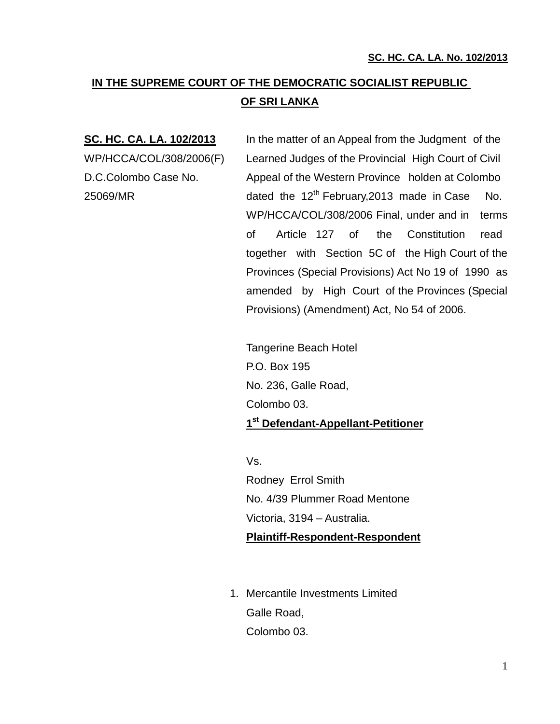# **IN THE SUPREME COURT OF THE DEMOCRATIC SOCIALIST REPUBLIC OF SRI LANKA**

**SC. HC. CA. LA. 102/2013** In the matter of an Appeal from the Judgment of the WP/HCCA/COL/308/2006(F) Learned Judges of the Provincial High Court of Civil D.C.Colombo Case No. Appeal of the Western Province holden at Colombo 25069/MR dated the  $12<sup>th</sup>$  February, 2013 made in Case No. WP/HCCA/COL/308/2006 Final, under and in terms of Article 127 of the Constitution read together with Section 5C of the High Court of the Provinces (Special Provisions) Act No 19 of 1990 as amended by High Court of the Provinces (Special Provisions) (Amendment) Act, No 54 of 2006.

> Tangerine Beach Hotel P.O. Box 195 No. 236, Galle Road, Colombo 03. **1 st Defendant-Appellant-Petitioner**

> Vs. Rodney Errol Smith No. 4/39 Plummer Road Mentone Victoria, 3194 – Australia. **Plaintiff-Respondent-Respondent**

1. Mercantile Investments Limited Galle Road, Colombo 03.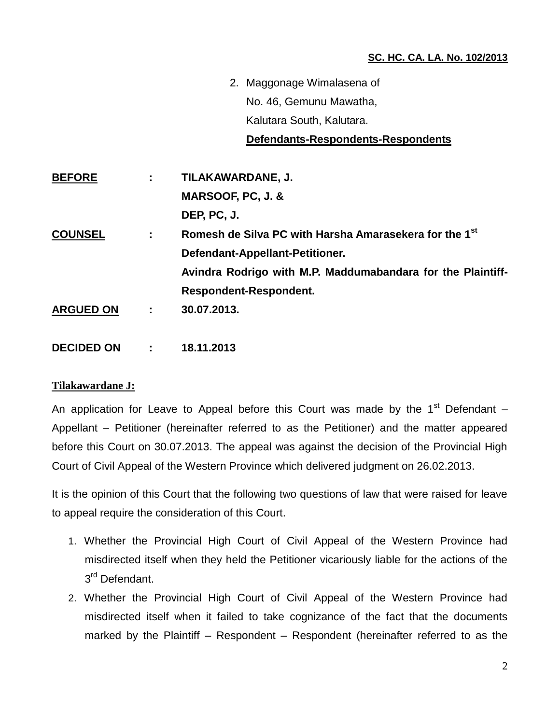2. Maggonage Wimalasena of No. 46, Gemunu Mawatha, Kalutara South, Kalutara.

#### **Defendants-Respondents-Respondents**

**BEFORE : TILAKAWARDANE, J. MARSOOF, PC, J. & DEP, PC, J. COUNSEL : Romesh de Silva PC with Harsha Amarasekera for the 1st Defendant-Appellant-Petitioner. Avindra Rodrigo with M.P. Maddumabandara for the Plaintiff-Respondent-Respondent. ARGUED ON : 30.07.2013. DECIDED ON : 18.11.2013**

## **Tilakawardane J:**

An application for Leave to Appeal before this Court was made by the 1<sup>st</sup> Defendant  $-$ Appellant – Petitioner (hereinafter referred to as the Petitioner) and the matter appeared before this Court on 30.07.2013. The appeal was against the decision of the Provincial High Court of Civil Appeal of the Western Province which delivered judgment on 26.02.2013.

It is the opinion of this Court that the following two questions of law that were raised for leave to appeal require the consideration of this Court.

- 1. Whether the Provincial High Court of Civil Appeal of the Western Province had misdirected itself when they held the Petitioner vicariously liable for the actions of the 3<sup>rd</sup> Defendant.
- 2. Whether the Provincial High Court of Civil Appeal of the Western Province had misdirected itself when it failed to take cognizance of the fact that the documents marked by the Plaintiff – Respondent – Respondent (hereinafter referred to as the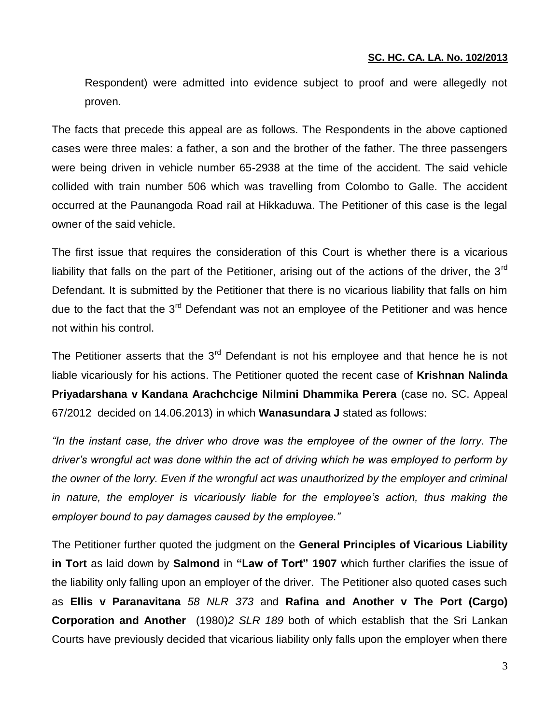Respondent) were admitted into evidence subject to proof and were allegedly not proven.

The facts that precede this appeal are as follows. The Respondents in the above captioned cases were three males: a father, a son and the brother of the father. The three passengers were being driven in vehicle number 65-2938 at the time of the accident. The said vehicle collided with train number 506 which was travelling from Colombo to Galle. The accident occurred at the Paunangoda Road rail at Hikkaduwa. The Petitioner of this case is the legal owner of the said vehicle.

The first issue that requires the consideration of this Court is whether there is a vicarious liability that falls on the part of the Petitioner, arising out of the actions of the driver, the  $3<sup>rd</sup>$ Defendant. It is submitted by the Petitioner that there is no vicarious liability that falls on him due to the fact that the 3<sup>rd</sup> Defendant was not an employee of the Petitioner and was hence not within his control.

The Petitioner asserts that the  $3<sup>rd</sup>$  Defendant is not his employee and that hence he is not liable vicariously for his actions. The Petitioner quoted the recent case of **Krishnan Nalinda Priyadarshana v Kandana Arachchcige Nilmini Dhammika Perera** (case no. SC. Appeal 67/2012 decided on 14.06.2013) in which **Wanasundara J** stated as follows:

*"In the instant case, the driver who drove was the employee of the owner of the lorry. The driver's wrongful act was done within the act of driving which he was employed to perform by the owner of the lorry. Even if the wrongful act was unauthorized by the employer and criminal*  in nature, the employer is vicariously liable for the employee's action, thus making the *employer bound to pay damages caused by the employee."*

The Petitioner further quoted the judgment on the **General Principles of Vicarious Liability in Tort** as laid down by **Salmond** in **"Law of Tort" 1907** which further clarifies the issue of the liability only falling upon an employer of the driver. The Petitioner also quoted cases such as **Ellis v Paranavitana** *58 NLR 373* and **Rafina and Another v The Port (Cargo) Corporation and Another** (1980)*2 SLR 189* both of which establish that the Sri Lankan Courts have previously decided that vicarious liability only falls upon the employer when there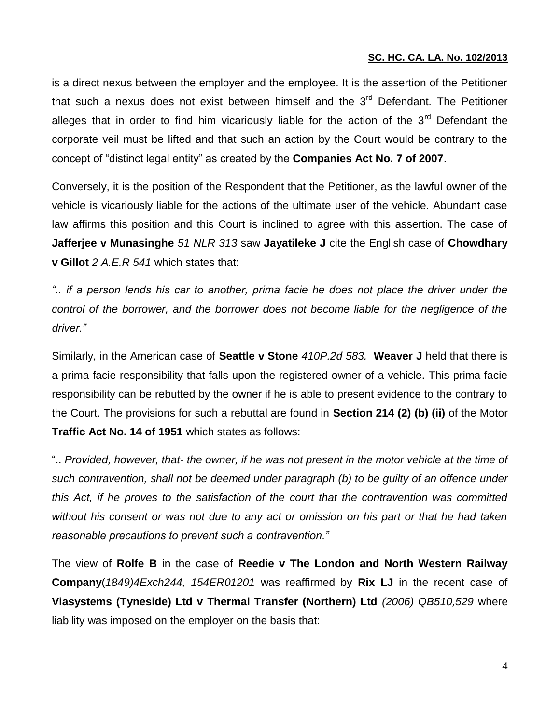is a direct nexus between the employer and the employee. It is the assertion of the Petitioner that such a nexus does not exist between himself and the  $3<sup>rd</sup>$  Defendant. The Petitioner alleges that in order to find him vicariously liable for the action of the  $3<sup>rd</sup>$  Defendant the corporate veil must be lifted and that such an action by the Court would be contrary to the concept of "distinct legal entity" as created by the **Companies Act No. 7 of 2007**.

Conversely, it is the position of the Respondent that the Petitioner, as the lawful owner of the vehicle is vicariously liable for the actions of the ultimate user of the vehicle. Abundant case law affirms this position and this Court is inclined to agree with this assertion. The case of **Jafferjee v Munasinghe** *51 NLR 313* saw **Jayatileke J** cite the English case of **Chowdhary v Gillot** *2 A.E.R 541* which states that:

*".. if a person lends his car to another, prima facie he does not place the driver under the control of the borrower, and the borrower does not become liable for the negligence of the driver."*

Similarly, in the American case of **Seattle v Stone** *410P.2d 583.* **Weaver J** held that there is a prima facie responsibility that falls upon the registered owner of a vehicle. This prima facie responsibility can be rebutted by the owner if he is able to present evidence to the contrary to the Court. The provisions for such a rebuttal are found in **Section 214 (2) (b) (ii)** of the Motor **Traffic Act No. 14 of 1951** which states as follows:

".. *Provided, however, that- the owner, if he was not present in the motor vehicle at the time of such contravention, shall not be deemed under paragraph (b) to be guilty of an offence under this Act, if he proves to the satisfaction of the court that the contravention was committed without his consent or was not due to any act or omission on his part or that he had taken reasonable precautions to prevent such a contravention."*

The view of **Rolfe B** in the case of **Reedie v The London and North Western Railway Company**(*1849)4Exch244, 154ER01201* was reaffirmed by **Rix LJ** in the recent case of **Viasystems (Tyneside) Ltd v Thermal Transfer (Northern) Ltd** *(2006) QB510,529* where liability was imposed on the employer on the basis that: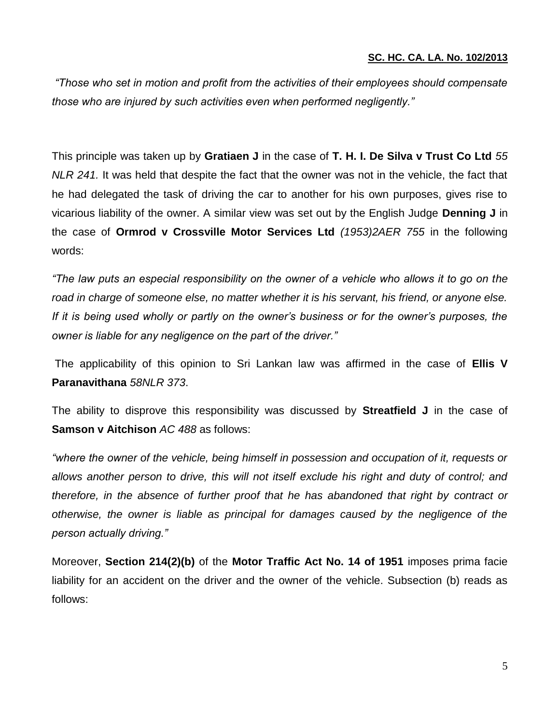*"Those who set in motion and profit from the activities of their employees should compensate those who are injured by such activities even when performed negligently."*

This principle was taken up by **Gratiaen J** in the case of **T. H. I. De Silva v Trust Co Ltd** *55 NLR 241.* It was held that despite the fact that the owner was not in the vehicle, the fact that he had delegated the task of driving the car to another for his own purposes, gives rise to vicarious liability of the owner. A similar view was set out by the English Judge **Denning J** in the case of **Ormrod v Crossville Motor Services Ltd** *(1953)2AER 755* in the following words:

*"The law puts an especial responsibility on the owner of a vehicle who allows it to go on the road in charge of someone else, no matter whether it is his servant, his friend, or anyone else. If it is being used wholly or partly on the owner's business or for the owner's purposes, the owner is liable for any negligence on the part of the driver."*

The applicability of this opinion to Sri Lankan law was affirmed in the case of **Ellis V Paranavithana** *58NLR 373*.

The ability to disprove this responsibility was discussed by **Streatfield J** in the case of **Samson v Aitchison** *AC 488* as follows:

*"where the owner of the vehicle, being himself in possession and occupation of it, requests or allows another person to drive, this will not itself exclude his right and duty of control; and therefore, in the absence of further proof that he has abandoned that right by contract or otherwise, the owner is liable as principal for damages caused by the negligence of the person actually driving."*

Moreover, **Section 214(2)(b)** of the **Motor Traffic Act No. 14 of 1951** imposes prima facie liability for an accident on the driver and the owner of the vehicle. Subsection (b) reads as follows: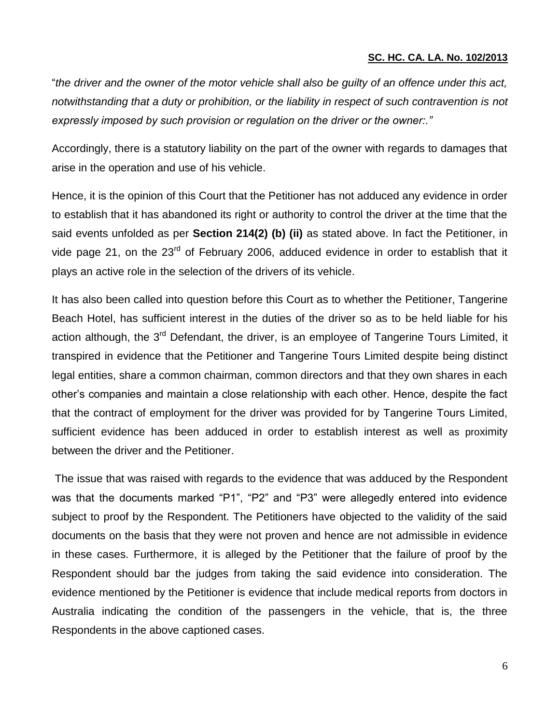"*the driver and the owner of the motor vehicle shall also be guilty of an offence under this act, notwithstanding that a duty or prohibition, or the liability in respect of such contravention is not expressly imposed by such provision or regulation on the driver or the owner:."*

Accordingly, there is a statutory liability on the part of the owner with regards to damages that arise in the operation and use of his vehicle.

Hence, it is the opinion of this Court that the Petitioner has not adduced any evidence in order to establish that it has abandoned its right or authority to control the driver at the time that the said events unfolded as per **Section 214(2) (b) (ii)** as stated above. In fact the Petitioner, in vide page 21, on the 23<sup>rd</sup> of February 2006, adduced evidence in order to establish that it plays an active role in the selection of the drivers of its vehicle.

It has also been called into question before this Court as to whether the Petitioner, Tangerine Beach Hotel, has sufficient interest in the duties of the driver so as to be held liable for his action although, the 3<sup>rd</sup> Defendant, the driver, is an employee of Tangerine Tours Limited, it transpired in evidence that the Petitioner and Tangerine Tours Limited despite being distinct legal entities, share a common chairman, common directors and that they own shares in each other's companies and maintain a close relationship with each other. Hence, despite the fact that the contract of employment for the driver was provided for by Tangerine Tours Limited, sufficient evidence has been adduced in order to establish interest as well as proximity between the driver and the Petitioner.

The issue that was raised with regards to the evidence that was adduced by the Respondent was that the documents marked "P1", "P2" and "P3" were allegedly entered into evidence subject to proof by the Respondent. The Petitioners have objected to the validity of the said documents on the basis that they were not proven and hence are not admissible in evidence in these cases. Furthermore, it is alleged by the Petitioner that the failure of proof by the Respondent should bar the judges from taking the said evidence into consideration. The evidence mentioned by the Petitioner is evidence that include medical reports from doctors in Australia indicating the condition of the passengers in the vehicle, that is, the three Respondents in the above captioned cases.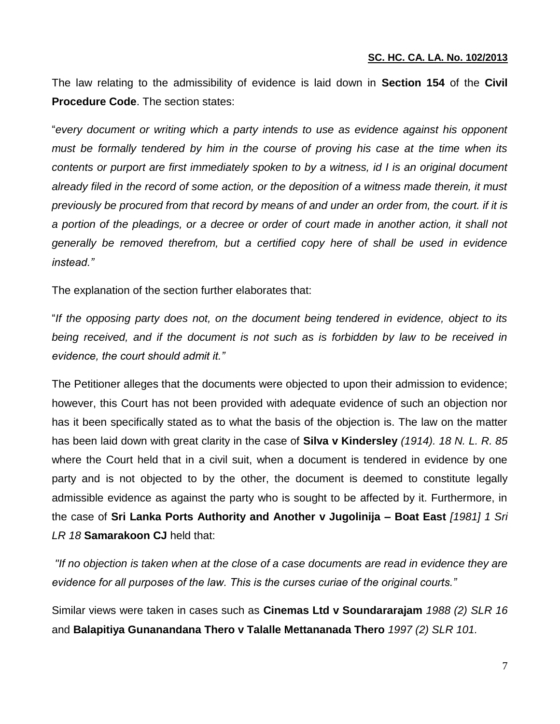The law relating to the admissibility of evidence is laid down in **Section 154** of the **Civil Procedure Code**. The section states:

"*every document or writing which a party intends to use as evidence against his opponent must be formally tendered by him in the course of proving his case at the time when its contents or purport are first immediately spoken to by a witness, id I is an original document already filed in the record of some action, or the deposition of a witness made therein, it must previously be procured from that record by means of and under an order from, the court. if it is a portion of the pleadings, or a decree or order of court made in another action, it shall not generally be removed therefrom, but a certified copy here of shall be used in evidence instead."*

The explanation of the section further elaborates that:

"*If the opposing party does not, on the document being tendered in evidence, object to its being received, and if the document is not such as is forbidden by law to be received in evidence, the court should admit it."*

The Petitioner alleges that the documents were objected to upon their admission to evidence; however, this Court has not been provided with adequate evidence of such an objection nor has it been specifically stated as to what the basis of the objection is. The law on the matter has been laid down with great clarity in the case of **Silva v Kindersley** *(1914). 18 N. L. R. 85*  where the Court held that in a civil suit, when a document is tendered in evidence by one party and is not objected to by the other, the document is deemed to constitute legally admissible evidence as against the party who is sought to be affected by it. Furthermore, in the case of **Sri Lanka Ports Authority and Another v Jugolinija – Boat East** *[1981] 1 Sri LR 18* **Samarakoon CJ** held that:

*"If no objection is taken when at the close of a case documents are read in evidence they are evidence for all purposes of the law. This is the curses curiae of the original courts."*

Similar views were taken in cases such as **Cinemas Ltd v Soundararajam** *1988 (2) SLR 16* and **Balapitiya Gunanandana Thero v Talalle Mettananada Thero** *1997 (2) SLR 101.*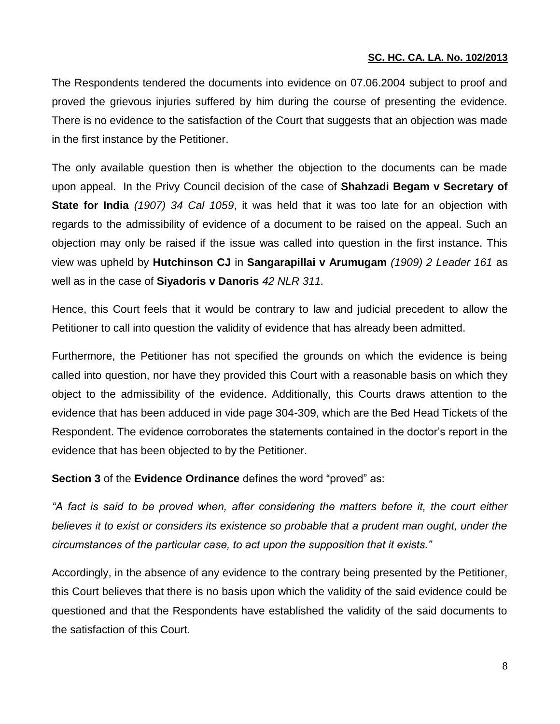The Respondents tendered the documents into evidence on 07.06.2004 subject to proof and proved the grievous injuries suffered by him during the course of presenting the evidence. There is no evidence to the satisfaction of the Court that suggests that an objection was made in the first instance by the Petitioner.

The only available question then is whether the objection to the documents can be made upon appeal. In the Privy Council decision of the case of **Shahzadi Begam v Secretary of State for India** *(1907) 34 Cal 1059*, it was held that it was too late for an objection with regards to the admissibility of evidence of a document to be raised on the appeal. Such an objection may only be raised if the issue was called into question in the first instance. This view was upheld by **Hutchinson CJ** in **Sangarapillai v Arumugam** *(1909) 2 Leader 161* as well as in the case of **Siyadoris v Danoris** *42 NLR 311.* 

Hence, this Court feels that it would be contrary to law and judicial precedent to allow the Petitioner to call into question the validity of evidence that has already been admitted.

Furthermore, the Petitioner has not specified the grounds on which the evidence is being called into question, nor have they provided this Court with a reasonable basis on which they object to the admissibility of the evidence. Additionally, this Courts draws attention to the evidence that has been adduced in vide page 304-309, which are the Bed Head Tickets of the Respondent. The evidence corroborates the statements contained in the doctor's report in the evidence that has been objected to by the Petitioner.

**Section 3** of the **Evidence Ordinance** defines the word "proved" as:

*"A fact is said to be proved when, after considering the matters before it, the court either believes it to exist or considers its existence so probable that a prudent man ought, under the circumstances of the particular case, to act upon the supposition that it exists."*

Accordingly, in the absence of any evidence to the contrary being presented by the Petitioner, this Court believes that there is no basis upon which the validity of the said evidence could be questioned and that the Respondents have established the validity of the said documents to the satisfaction of this Court.